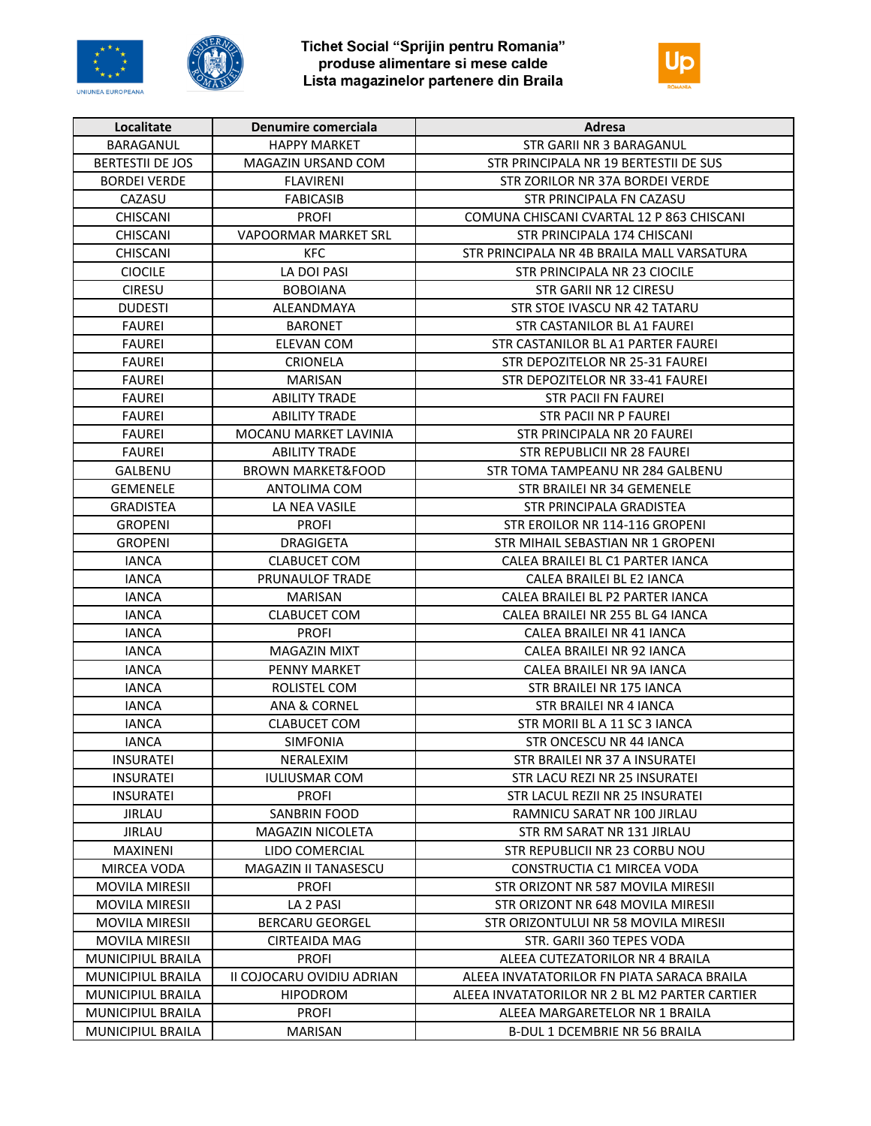



Tichet Social "Sprijin pentru Romania"<br>produse alimentare si mese calde Lista magazinelor partenere din Braila



| Localitate               | Denumire comerciala          | Adresa                                        |
|--------------------------|------------------------------|-----------------------------------------------|
| BARAGANUL                | <b>HAPPY MARKET</b>          | STR GARII NR 3 BARAGANUL                      |
| <b>BERTESTII DE JOS</b>  | MAGAZIN URSAND COM           | STR PRINCIPALA NR 19 BERTESTII DE SUS         |
| <b>BORDEI VERDE</b>      | <b>FLAVIRENI</b>             | STR ZORILOR NR 37A BORDEI VERDE               |
| CAZASU                   | <b>FABICASIB</b>             | STR PRINCIPALA FN CAZASU                      |
| CHISCANI                 | <b>PROFI</b>                 | COMUNA CHISCANI CVARTAL 12 P 863 CHISCANI     |
| <b>CHISCANI</b>          | <b>VAPOORMAR MARKET SRL</b>  | STR PRINCIPALA 174 CHISCANI                   |
| <b>CHISCANI</b>          | KFC                          | STR PRINCIPALA NR 4B BRAILA MALL VARSATURA    |
| <b>CIOCILE</b>           | LA DOI PASI                  | STR PRINCIPALA NR 23 CIOCILE                  |
| <b>CIRESU</b>            | <b>BOBOIANA</b>              | STR GARII NR 12 CIRESU                        |
| <b>DUDESTI</b>           | ALEANDMAYA                   | STR STOE IVASCU NR 42 TATARU                  |
| FAUREI                   | <b>BARONET</b>               | STR CASTANILOR BL A1 FAUREI                   |
| <b>FAUREI</b>            | ELEVAN COM                   | STR CASTANILOR BL A1 PARTER FAUREI            |
| <b>FAUREI</b>            | <b>CRIONELA</b>              | STR DEPOZITELOR NR 25-31 FAUREI               |
| <b>FAUREI</b>            | <b>MARISAN</b>               | STR DEPOZITELOR NR 33-41 FAUREI               |
| <b>FAUREI</b>            | <b>ABILITY TRADE</b>         | <b>STR PACII FN FAUREI</b>                    |
| <b>FAUREI</b>            | <b>ABILITY TRADE</b>         | <b>STR PACII NR P FAUREI</b>                  |
| <b>FAUREI</b>            | MOCANU MARKET LAVINIA        | STR PRINCIPALA NR 20 FAUREI                   |
| <b>FAUREI</b>            | <b>ABILITY TRADE</b>         | STR REPUBLICII NR 28 FAUREI                   |
| <b>GALBENU</b>           | <b>BROWN MARKET&amp;FOOD</b> | STR TOMA TAMPEANU NR 284 GALBENU              |
| <b>GEMENELE</b>          | <b>ANTOLIMA COM</b>          | STR BRAILEI NR 34 GEMENELE                    |
| <b>GRADISTEA</b>         | LA NEA VASILE                | STR PRINCIPALA GRADISTEA                      |
| <b>GROPENI</b>           | <b>PROFI</b>                 | STR EROILOR NR 114-116 GROPENI                |
| <b>GROPENI</b>           | <b>DRAGIGETA</b>             | STR MIHAIL SEBASTIAN NR 1 GROPENI             |
| <b>IANCA</b>             | <b>CLABUCET COM</b>          | CALEA BRAILEI BL C1 PARTER IANCA              |
| <b>IANCA</b>             | PRUNAULOF TRADE              | CALEA BRAILEI BL E2 IANCA                     |
| <b>IANCA</b>             | <b>MARISAN</b>               | CALEA BRAILEI BL P2 PARTER IANCA              |
| IANCA                    | <b>CLABUCET COM</b>          | CALEA BRAILEI NR 255 BL G4 IANCA              |
| <b>IANCA</b>             | <b>PROFI</b>                 | CALEA BRAILEI NR 41 IANCA                     |
| <b>IANCA</b>             | <b>MAGAZIN MIXT</b>          | CALEA BRAILEI NR 92 IANCA                     |
| <b>IANCA</b>             | <b>PENNY MARKET</b>          | CALEA BRAILEI NR 9A IANCA                     |
| <b>IANCA</b>             | ROLISTEL COM                 | STR BRAILEI NR 175 IANCA                      |
| <b>IANCA</b>             | <b>ANA &amp; CORNEL</b>      | STR BRAILEI NR 4 IANCA                        |
| <b>IANCA</b>             | <b>CLABUCET COM</b>          | STR MORII BL A 11 SC 3 IANCA                  |
| <b>IANCA</b>             | <b>SIMFONIA</b>              | STR ONCESCU NR 44 IANCA                       |
| <b>INSURATEI</b>         | NERALEXIM                    | STR BRAILEI NR 37 A INSURATEI                 |
| INSURATEI                | <b>IULIUSMAR COM</b>         | STR LACU REZI NR 25 INSURATEI                 |
| <b>INSURATEI</b>         | <b>PROFI</b>                 | STR LACUL REZII NR 25 INSURATEI               |
| <b>JIRLAU</b>            | <b>SANBRIN FOOD</b>          | RAMNICU SARAT NR 100 JIRLAU                   |
| <b>JIRLAU</b>            | <b>MAGAZIN NICOLETA</b>      | STR RM SARAT NR 131 JIRLAU                    |
| <b>MAXINENI</b>          | LIDO COMERCIAL               | STR REPUBLICII NR 23 CORBU NOU                |
| <b>MIRCEA VODA</b>       | MAGAZIN II TANASESCU         | CONSTRUCTIA C1 MIRCEA VODA                    |
| <b>MOVILA MIRESII</b>    | <b>PROFI</b>                 | STR ORIZONT NR 587 MOVILA MIRESII             |
| <b>MOVILA MIRESII</b>    | LA 2 PASI                    | STR ORIZONT NR 648 MOVILA MIRESII             |
| <b>MOVILA MIRESII</b>    | <b>BERCARU GEORGEL</b>       | STR ORIZONTULUI NR 58 MOVILA MIRESII          |
| <b>MOVILA MIRESII</b>    | <b>CIRTEAIDA MAG</b>         | STR. GARII 360 TEPES VODA                     |
| <b>MUNICIPIUL BRAILA</b> | <b>PROFI</b>                 | ALEEA CUTEZATORILOR NR 4 BRAILA               |
| <b>MUNICIPIUL BRAILA</b> | II COJOCARU OVIDIU ADRIAN    | ALEEA INVATATORILOR FN PIATA SARACA BRAILA    |
| MUNICIPIUL BRAILA        | <b>HIPODROM</b>              | ALEEA INVATATORILOR NR 2 BL M2 PARTER CARTIER |
| MUNICIPIUL BRAILA        | <b>PROFI</b>                 | ALEEA MARGARETELOR NR 1 BRAILA                |
| MUNICIPIUL BRAILA        | <b>MARISAN</b>               | B-DUL 1 DCEMBRIE NR 56 BRAILA                 |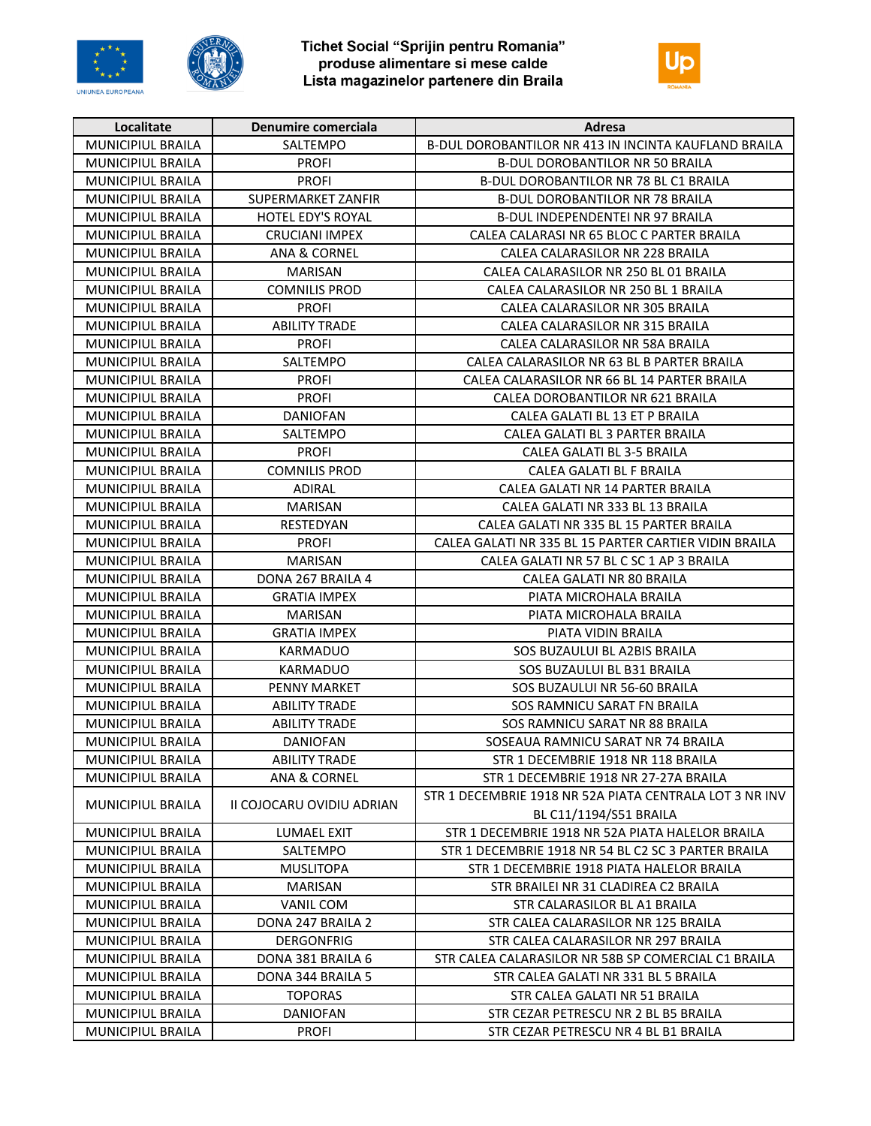



Tichet Social "Sprijin pentru Romania"<br>produse alimentare si mese calde Lista magazinelor partenere din Braila



| Localitate               | Denumire comerciala       | Adresa                                                  |
|--------------------------|---------------------------|---------------------------------------------------------|
| MUNICIPIUL BRAILA        | SALTEMPO                  | B-DUL DOROBANTILOR NR 413 IN INCINTA KAUFLAND BRAILA    |
| MUNICIPIUL BRAILA        | <b>PROFI</b>              | B-DUL DOROBANTILOR NR 50 BRAILA                         |
| MUNICIPIUL BRAILA        | <b>PROFI</b>              | <b>B-DUL DOROBANTILOR NR 78 BL C1 BRAILA</b>            |
| MUNICIPIUL BRAILA        | <b>SUPERMARKET ZANFIR</b> | <b>B-DUL DOROBANTILOR NR 78 BRAILA</b>                  |
| MUNICIPIUL BRAILA        | HOTEL EDY'S ROYAL         | B-DUL INDEPENDENTEI NR 97 BRAILA                        |
| MUNICIPIUL BRAILA        | <b>CRUCIANI IMPEX</b>     | CALEA CALARASI NR 65 BLOC C PARTER BRAILA               |
| <b>MUNICIPIUL BRAILA</b> | <b>ANA &amp; CORNEL</b>   | CALEA CALARASILOR NR 228 BRAILA                         |
| MUNICIPIUL BRAILA        | <b>MARISAN</b>            | CALEA CALARASILOR NR 250 BL 01 BRAILA                   |
| MUNICIPIUL BRAILA        | <b>COMNILIS PROD</b>      | CALEA CALARASILOR NR 250 BL 1 BRAILA                    |
| MUNICIPIUL BRAILA        | <b>PROFI</b>              | CALEA CALARASILOR NR 305 BRAILA                         |
| MUNICIPIUL BRAILA        | <b>ABILITY TRADE</b>      | CALEA CALARASILOR NR 315 BRAILA                         |
| MUNICIPIUL BRAILA        | <b>PROFI</b>              | CALEA CALARASILOR NR 58A BRAILA                         |
| MUNICIPIUL BRAILA        | SALTEMPO                  | CALEA CALARASILOR NR 63 BL B PARTER BRAILA              |
| MUNICIPIUL BRAILA        | <b>PROFI</b>              | CALEA CALARASILOR NR 66 BL 14 PARTER BRAILA             |
| MUNICIPIUL BRAILA        | <b>PROFI</b>              | CALEA DOROBANTILOR NR 621 BRAILA                        |
| MUNICIPIUL BRAILA        | <b>DANIOFAN</b>           | CALEA GALATI BL 13 ET P BRAILA                          |
| <b>MUNICIPIUL BRAILA</b> | SALTEMPO                  | CALEA GALATI BL 3 PARTER BRAILA                         |
| <b>MUNICIPIUL BRAILA</b> | <b>PROFI</b>              | CALEA GALATI BL 3-5 BRAILA                              |
| <b>MUNICIPIUL BRAILA</b> | <b>COMNILIS PROD</b>      | CALEA GALATI BL F BRAILA                                |
| MUNICIPIUL BRAILA        | <b>ADIRAL</b>             | CALEA GALATI NR 14 PARTER BRAILA                        |
| MUNICIPIUL BRAILA        | <b>MARISAN</b>            | CALEA GALATI NR 333 BL 13 BRAILA                        |
| MUNICIPIUL BRAILA        | RESTEDYAN                 | CALEA GALATI NR 335 BL 15 PARTER BRAILA                 |
| MUNICIPIUL BRAILA        | <b>PROFI</b>              | CALEA GALATI NR 335 BL 15 PARTER CARTIER VIDIN BRAILA   |
| MUNICIPIUL BRAILA        | <b>MARISAN</b>            | CALEA GALATI NR 57 BL C SC 1 AP 3 BRAILA                |
| MUNICIPIUL BRAILA        | DONA 267 BRAILA 4         | CALEA GALATI NR 80 BRAILA                               |
| MUNICIPIUL BRAILA        | <b>GRATIA IMPEX</b>       | PIATA MICROHALA BRAILA                                  |
| MUNICIPIUL BRAILA        | MARISAN                   | PIATA MICROHALA BRAILA                                  |
| MUNICIPIUL BRAILA        | <b>GRATIA IMPEX</b>       | PIATA VIDIN BRAILA                                      |
| MUNICIPIUL BRAILA        | <b>KARMADUO</b>           | SOS BUZAULUI BL A2BIS BRAILA                            |
| MUNICIPIUL BRAILA        | <b>KARMADUO</b>           | SOS BUZAULUI BL B31 BRAILA                              |
| MUNICIPIUL BRAILA        | <b>PENNY MARKET</b>       | SOS BUZAULUI NR 56-60 BRAILA                            |
| <b>MUNICIPIUL BRAILA</b> | <b>ABILITY TRADE</b>      | SOS RAMNICU SARAT FN BRAILA                             |
| MUNICIPIUL BRAILA        | <b>ABILITY TRADE</b>      | SOS RAMNICU SARAT NR 88 BRAILA                          |
| <b>MUNICIPIUL BRAILA</b> | <b>DANIOFAN</b>           | SOSEAUA RAMNICU SARAT NR 74 BRAILA                      |
| MUNICIPIUL BRAILA        | <b>ABILITY TRADE</b>      | STR 1 DECEMBRIE 1918 NR 118 BRAILA                      |
| MUNICIPIUL BRAILA        | <b>ANA &amp; CORNEL</b>   | STR 1 DECEMBRIE 1918 NR 27-27A BRAILA                   |
| MUNICIPIUL BRAILA        | II COJOCARU OVIDIU ADRIAN | STR 1 DECEMBRIE 1918 NR 52A PIATA CENTRALA LOT 3 NR INV |
|                          |                           | BL C11/1194/S51 BRAILA                                  |
| <b>MUNICIPIUL BRAILA</b> | LUMAEL EXIT               | STR 1 DECEMBRIE 1918 NR 52A PIATA HALELOR BRAILA        |
| <b>MUNICIPIUL BRAILA</b> | SALTEMPO                  | STR 1 DECEMBRIE 1918 NR 54 BL C2 SC 3 PARTER BRAILA     |
| MUNICIPIUL BRAILA        | MUSLITOPA                 | STR 1 DECEMBRIE 1918 PIATA HALELOR BRAILA               |
| MUNICIPIUL BRAILA        | <b>MARISAN</b>            | STR BRAILEI NR 31 CLADIREA C2 BRAILA                    |
| MUNICIPIUL BRAILA        | VANIL COM                 | STR CALARASILOR BL A1 BRAILA                            |
| MUNICIPIUL BRAILA        | DONA 247 BRAILA 2         | STR CALEA CALARASILOR NR 125 BRAILA                     |
| MUNICIPIUL BRAILA        | <b>DERGONFRIG</b>         | STR CALEA CALARASILOR NR 297 BRAILA                     |
| MUNICIPIUL BRAILA        | DONA 381 BRAILA 6         | STR CALEA CALARASILOR NR 58B SP COMERCIAL C1 BRAILA     |
| MUNICIPIUL BRAILA        | DONA 344 BRAILA 5         | STR CALEA GALATI NR 331 BL 5 BRAILA                     |
| MUNICIPIUL BRAILA        | <b>TOPORAS</b>            | STR CALEA GALATI NR 51 BRAILA                           |
| MUNICIPIUL BRAILA        | <b>DANIOFAN</b>           | STR CEZAR PETRESCU NR 2 BL B5 BRAILA                    |
| MUNICIPIUL BRAILA        | <b>PROFI</b>              | STR CEZAR PETRESCU NR 4 BL B1 BRAILA                    |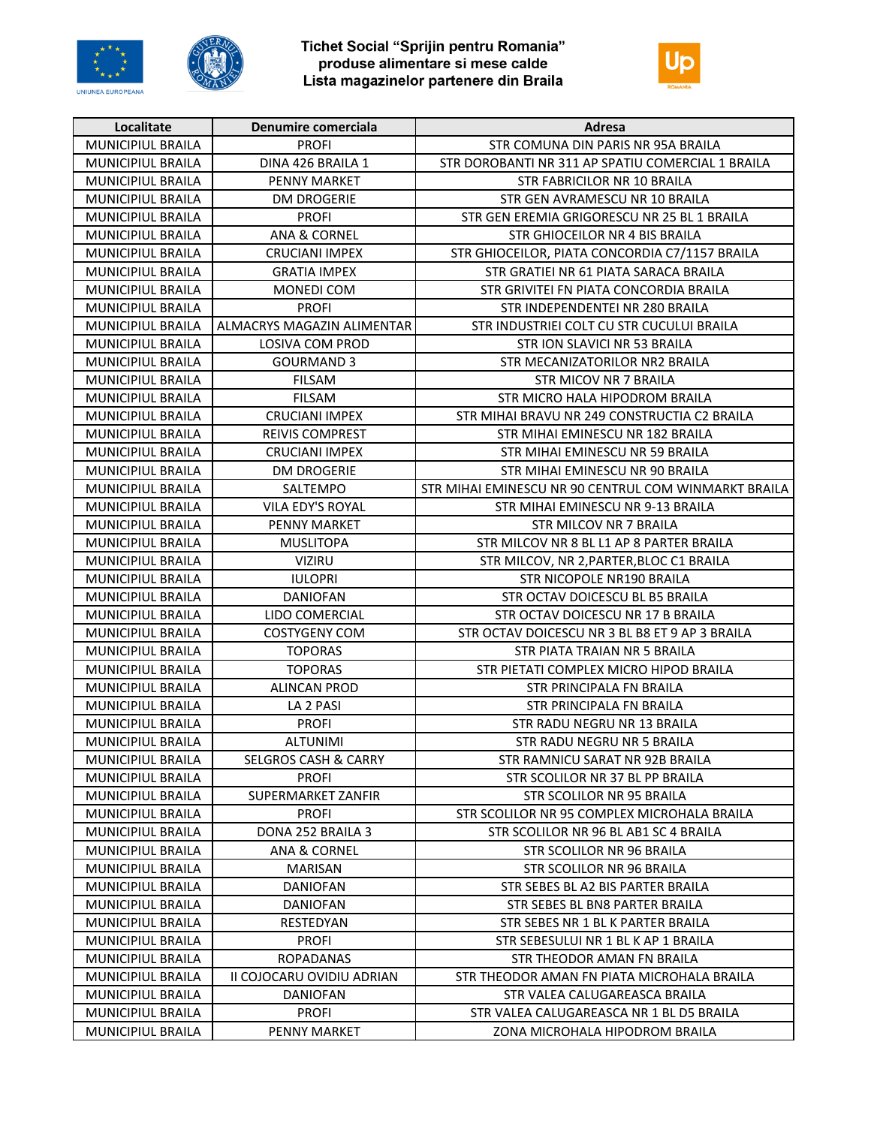



Tichet Social "Sprijin pentru Romania"<br>produse alimentare si mese calde<br>Lista magazinelor partenere din Braila



| Localitate               | Denumire comerciala             | Adresa                                               |
|--------------------------|---------------------------------|------------------------------------------------------|
| MUNICIPIUL BRAILA        | <b>PROFI</b>                    | STR COMUNA DIN PARIS NR 95A BRAILA                   |
| MUNICIPIUL BRAILA        | DINA 426 BRAILA 1               | STR DOROBANTI NR 311 AP SPATIU COMERCIAL 1 BRAILA    |
| MUNICIPIUL BRAILA        | <b>PENNY MARKET</b>             | STR FABRICILOR NR 10 BRAILA                          |
| MUNICIPIUL BRAILA        | <b>DM DROGERIE</b>              | STR GEN AVRAMESCU NR 10 BRAILA                       |
| MUNICIPIUL BRAILA        | <b>PROFI</b>                    | STR GEN EREMIA GRIGORESCU NR 25 BL 1 BRAILA          |
| MUNICIPIUL BRAILA        | <b>ANA &amp; CORNEL</b>         | STR GHIOCEILOR NR 4 BIS BRAILA                       |
| MUNICIPIUL BRAILA        | <b>CRUCIANI IMPEX</b>           | STR GHIOCEILOR, PIATA CONCORDIA C7/1157 BRAILA       |
| MUNICIPIUL BRAILA        | <b>GRATIA IMPEX</b>             | STR GRATIEI NR 61 PIATA SARACA BRAILA                |
| <b>MUNICIPIUL BRAILA</b> | <b>MONEDI COM</b>               | STR GRIVITEI FN PIATA CONCORDIA BRAILA               |
| MUNICIPIUL BRAILA        | <b>PROFI</b>                    | STR INDEPENDENTEI NR 280 BRAILA                      |
| MUNICIPIUL BRAILA        | ALMACRYS MAGAZIN ALIMENTAR      | STR INDUSTRIEI COLT CU STR CUCULUI BRAILA            |
| MUNICIPIUL BRAILA        | LOSIVA COM PROD                 | STR ION SLAVICI NR 53 BRAILA                         |
| MUNICIPIUL BRAILA        | <b>GOURMAND 3</b>               | STR MECANIZATORILOR NR2 BRAILA                       |
| MUNICIPIUL BRAILA        | <b>FILSAM</b>                   | STR MICOV NR 7 BRAILA                                |
| MUNICIPIUL BRAILA        | <b>FILSAM</b>                   | STR MICRO HALA HIPODROM BRAILA                       |
| <b>MUNICIPIUL BRAILA</b> | <b>CRUCIANI IMPEX</b>           | STR MIHAI BRAVU NR 249 CONSTRUCTIA C2 BRAILA         |
| MUNICIPIUL BRAILA        | <b>REIVIS COMPREST</b>          | STR MIHAI EMINESCU NR 182 BRAILA                     |
| MUNICIPIUL BRAILA        | <b>CRUCIANI IMPEX</b>           | STR MIHAI EMINESCU NR 59 BRAILA                      |
| MUNICIPIUL BRAILA        | <b>DM DROGERIE</b>              | STR MIHAI EMINESCU NR 90 BRAILA                      |
| <b>MUNICIPIUL BRAILA</b> | SALTEMPO                        | STR MIHAI EMINESCU NR 90 CENTRUL COM WINMARKT BRAILA |
| MUNICIPIUL BRAILA        | VILA EDY'S ROYAL                | STR MIHAI EMINESCU NR 9-13 BRAILA                    |
| MUNICIPIUL BRAILA        | <b>PENNY MARKET</b>             | STR MILCOV NR 7 BRAILA                               |
| MUNICIPIUL BRAILA        | <b>MUSLITOPA</b>                | STR MILCOV NR 8 BL L1 AP 8 PARTER BRAILA             |
| MUNICIPIUL BRAILA        | <b>VIZIRU</b>                   | STR MILCOV, NR 2, PARTER, BLOC C1 BRAILA             |
| MUNICIPIUL BRAILA        | <b>IULOPRI</b>                  | STR NICOPOLE NR190 BRAILA                            |
| MUNICIPIUL BRAILA        | <b>DANIOFAN</b>                 | STR OCTAV DOICESCU BL B5 BRAILA                      |
| MUNICIPIUL BRAILA        | LIDO COMERCIAL                  | STR OCTAV DOICESCU NR 17 B BRAILA                    |
| MUNICIPIUL BRAILA        | <b>COSTYGENY COM</b>            | STR OCTAV DOICESCU NR 3 BL B8 ET 9 AP 3 BRAILA       |
| MUNICIPIUL BRAILA        | <b>TOPORAS</b>                  | STR PIATA TRAIAN NR 5 BRAILA                         |
| MUNICIPIUL BRAILA        | <b>TOPORAS</b>                  | STR PIETATI COMPLEX MICRO HIPOD BRAILA               |
| MUNICIPIUL BRAILA        | <b>ALINCAN PROD</b>             | STR PRINCIPALA FN BRAILA                             |
| MUNICIPIUL BRAILA        | LA 2 PASI                       | STR PRINCIPALA FN BRAILA                             |
| MUNICIPIUL BRAILA        | <b>PROFI</b>                    | STR RADU NEGRU NR 13 BRAILA                          |
| MUNICIPIUL BRAILA        | <b>ALTUNIMI</b>                 | STR RADU NEGRU NR 5 BRAILA                           |
| MUNICIPIUL BRAILA        | <b>SELGROS CASH &amp; CARRY</b> | STR RAMNICU SARAT NR 92B BRAILA                      |
| MUNICIPIUL BRAILA        | <b>PROFI</b>                    | STR SCOLILOR NR 37 BL PP BRAILA                      |
| MUNICIPIUL BRAILA        | SUPERMARKET ZANFIR              | STR SCOLILOR NR 95 BRAILA                            |
| MUNICIPIUL BRAILA        | <b>PROFI</b>                    | STR SCOLILOR NR 95 COMPLEX MICROHALA BRAILA          |
| MUNICIPIUL BRAILA        | DONA 252 BRAILA 3               | STR SCOLILOR NR 96 BL AB1 SC 4 BRAILA                |
| <b>MUNICIPIUL BRAILA</b> | <b>ANA &amp; CORNEL</b>         | STR SCOLILOR NR 96 BRAILA                            |
| MUNICIPIUL BRAILA        | MARISAN                         | STR SCOLILOR NR 96 BRAILA                            |
| MUNICIPIUL BRAILA        | <b>DANIOFAN</b>                 | STR SEBES BL A2 BIS PARTER BRAILA                    |
| <b>MUNICIPIUL BRAILA</b> | <b>DANIOFAN</b>                 | STR SEBES BL BN8 PARTER BRAILA                       |
| <b>MUNICIPIUL BRAILA</b> | RESTEDYAN                       | STR SEBES NR 1 BL K PARTER BRAILA                    |
| MUNICIPIUL BRAILA        | <b>PROFI</b>                    | STR SEBESULUI NR 1 BL K AP 1 BRAILA                  |
| MUNICIPIUL BRAILA        | <b>ROPADANAS</b>                | STR THEODOR AMAN FN BRAILA                           |
| MUNICIPIUL BRAILA        | II COJOCARU OVIDIU ADRIAN       | STR THEODOR AMAN FN PIATA MICROHALA BRAILA           |
| MUNICIPIUL BRAILA        | <b>DANIOFAN</b>                 | STR VALEA CALUGAREASCA BRAILA                        |
| MUNICIPIUL BRAILA        | <b>PROFI</b>                    | STR VALEA CALUGAREASCA NR 1 BL D5 BRAILA             |
| MUNICIPIUL BRAILA        | PENNY MARKET                    | ZONA MICROHALA HIPODROM BRAILA                       |